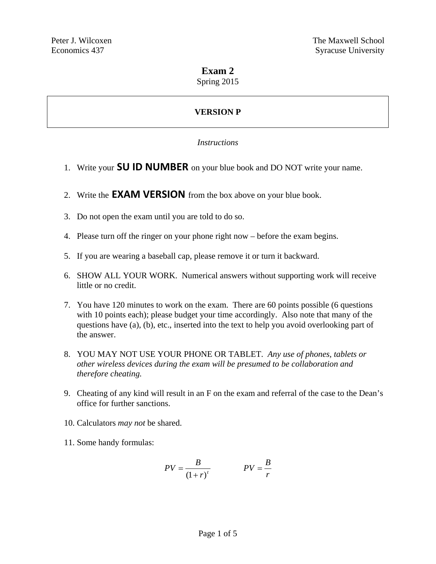# **Exam 2**

Spring 2015

# **VERSION P**

### *Instructions*

- 1. Write your **SU ID NUMBER** on your blue book and DO NOT write your name.
- 2. Write the **EXAM VERSION** from the box above on your blue book.
- 3. Do not open the exam until you are told to do so.
- 4. Please turn off the ringer on your phone right now before the exam begins.
- 5. If you are wearing a baseball cap, please remove it or turn it backward.
- 6. SHOW ALL YOUR WORK. Numerical answers without supporting work will receive little or no credit.
- 7. You have 120 minutes to work on the exam. There are 60 points possible (6 questions with 10 points each); please budget your time accordingly. Also note that many of the questions have (a), (b), etc., inserted into the text to help you avoid overlooking part of the answer.
- 8. YOU MAY NOT USE YOUR PHONE OR TABLET. *Any use of phones, tablets or other wireless devices during the exam will be presumed to be collaboration and therefore cheating.*
- 9. Cheating of any kind will result in an F on the exam and referral of the case to the Dean's office for further sanctions.
- 10. Calculators *may not* be shared.
- 11. Some handy formulas:

$$
PV = \frac{B}{(1+r)^t}
$$
 
$$
PV = \frac{B}{r}
$$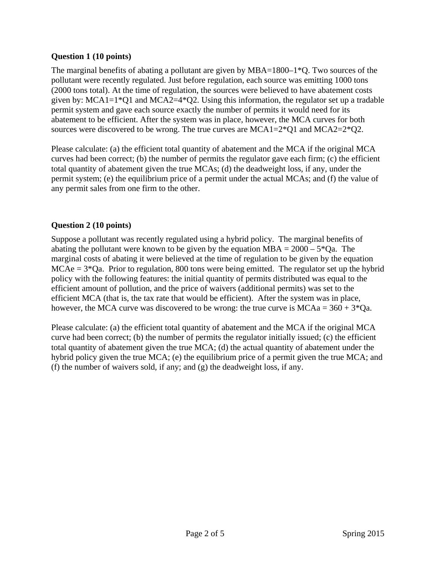### **Question 1 (10 points)**

The marginal benefits of abating a pollutant are given by  $MBA=1800-1*Q$ . Two sources of the pollutant were recently regulated. Just before regulation, each source was emitting 1000 tons (2000 tons total). At the time of regulation, the sources were believed to have abatement costs given by: MCA1=1\*Q1 and MCA2=4\*Q2. Using this information, the regulator set up a tradable permit system and gave each source exactly the number of permits it would need for its abatement to be efficient. After the system was in place, however, the MCA curves for both sources were discovered to be wrong. The true curves are MCA1=2\*Q1 and MCA2=2\*Q2.

Please calculate: (a) the efficient total quantity of abatement and the MCA if the original MCA curves had been correct; (b) the number of permits the regulator gave each firm; (c) the efficient total quantity of abatement given the true MCAs; (d) the deadweight loss, if any, under the permit system; (e) the equilibrium price of a permit under the actual MCAs; and (f) the value of any permit sales from one firm to the other.

# **Question 2 (10 points)**

Suppose a pollutant was recently regulated using a hybrid policy. The marginal benefits of abating the pollutant were known to be given by the equation  $MBA = 2000 - 5*Qa$ . The marginal costs of abating it were believed at the time of regulation to be given by the equation  $MCAe = 3*Qa$ . Prior to regulation, 800 tons were being emitted. The regulator set up the hybrid policy with the following features: the initial quantity of permits distributed was equal to the efficient amount of pollution, and the price of waivers (additional permits) was set to the efficient MCA (that is, the tax rate that would be efficient). After the system was in place, however, the MCA curve was discovered to be wrong: the true curve is  $MCAa = 360 + 3*Qa$ .

Please calculate: (a) the efficient total quantity of abatement and the MCA if the original MCA curve had been correct; (b) the number of permits the regulator initially issued; (c) the efficient total quantity of abatement given the true MCA; (d) the actual quantity of abatement under the hybrid policy given the true MCA; (e) the equilibrium price of a permit given the true MCA; and (f) the number of waivers sold, if any; and (g) the deadweight loss, if any.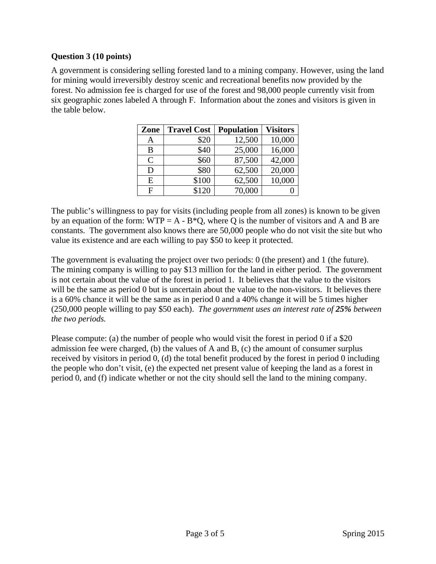#### **Question 3 (10 points)**

A government is considering selling forested land to a mining company. However, using the land for mining would irreversibly destroy scenic and recreational benefits now provided by the forest. No admission fee is charged for use of the forest and 98,000 people currently visit from six geographic zones labeled A through F. Information about the zones and visitors is given in the table below.

| Zone          | <b>Travel Cost</b> | <b>Population</b> | <b>Visitors</b> |
|---------------|--------------------|-------------------|-----------------|
| A             | \$20               | 12,500            | 10,000          |
| B             | \$40               | 25,000            | 16,000          |
| $\mathcal{C}$ | \$60               | 87,500            | 42,000          |
| D             | \$80               | 62,500            | 20,000          |
| E             | \$100              | 62,500            | 10,000          |
| F             | \$120              | 70,000            |                 |

The public's willingness to pay for visits (including people from all zones) is known to be given by an equation of the form:  $WTP = A - B^*Q$ , where Q is the number of visitors and A and B are constants. The government also knows there are 50,000 people who do not visit the site but who value its existence and are each willing to pay \$50 to keep it protected.

The government is evaluating the project over two periods: 0 (the present) and 1 (the future). The mining company is willing to pay \$13 million for the land in either period. The government is not certain about the value of the forest in period 1. It believes that the value to the visitors will be the same as period 0 but is uncertain about the value to the non-visitors. It believes there is a 60% chance it will be the same as in period 0 and a 40% change it will be 5 times higher (250,000 people willing to pay \$50 each). *The government uses an interest rate of 25% between the two periods.*

Please compute: (a) the number of people who would visit the forest in period 0 if a \$20 admission fee were charged, (b) the values of A and B, (c) the amount of consumer surplus received by visitors in period 0, (d) the total benefit produced by the forest in period 0 including the people who don't visit, (e) the expected net present value of keeping the land as a forest in period 0, and (f) indicate whether or not the city should sell the land to the mining company.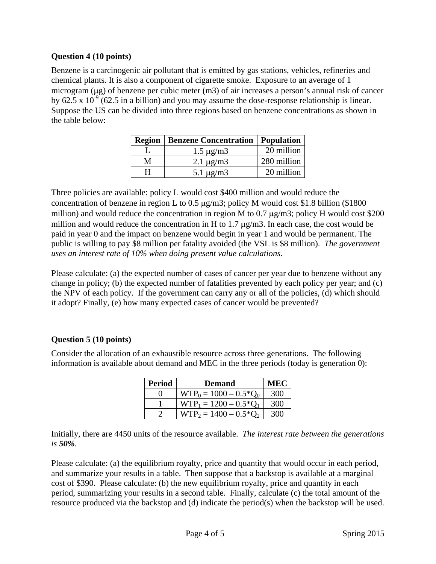### **Question 4 (10 points)**

Benzene is a carcinogenic air pollutant that is emitted by gas stations, vehicles, refineries and chemical plants. It is also a component of cigarette smoke. Exposure to an average of 1 microgram ( $\mu$ g) of benzene per cubic meter (m3) of air increases a person's annual risk of cancer by 62.5 x  $10^{-9}$  (62.5 in a billion) and you may assume the dose-response relationship is linear. Suppose the US can be divided into three regions based on benzene concentrations as shown in the table below:

|   | <b>Region   Benzene Concentration   Population</b> |             |  |
|---|----------------------------------------------------|-------------|--|
|   | $1.5 \mu g/m3$                                     | 20 million  |  |
| М | $2.1 \mu g/m3$                                     | 280 million |  |
|   | $5.1 \mu g/m3$                                     | 20 million  |  |

Three policies are available: policy L would cost \$400 million and would reduce the concentration of benzene in region L to  $0.5 \mu g/m3$ ; policy M would cost \$1.8 billion (\$1800) million) and would reduce the concentration in region M to  $0.7 \mu g/m3$ ; policy H would cost \$200 million and would reduce the concentration in H to  $1.7 \mu g/m3$ . In each case, the cost would be paid in year 0 and the impact on benzene would begin in year 1 and would be permanent. The public is willing to pay \$8 million per fatality avoided (the VSL is \$8 million). *The government uses an interest rate of 10% when doing present value calculations.*

Please calculate: (a) the expected number of cases of cancer per year due to benzene without any change in policy; (b) the expected number of fatalities prevented by each policy per year; and (c) the NPV of each policy. If the government can carry any or all of the policies, (d) which should it adopt? Finally, (e) how many expected cases of cancer would be prevented?

# **Question 5 (10 points)**

Consider the allocation of an exhaustible resource across three generations. The following information is available about demand and MEC in the three periods (today is generation 0):

| <b>Period</b> | <b>Demand</b>                  |     |
|---------------|--------------------------------|-----|
|               | $WTP_0 = 1000 - 0.5 \cdot Q_0$ | 300 |
|               | $WTP_1 = 1200 - 0.5*Q_1$       | 300 |
|               | $WTP_2 = 1400 - 0.5 \cdot 0.2$ | 300 |

Initially, there are 4450 units of the resource available. *The interest rate between the generations is 50%.*

Please calculate: (a) the equilibrium royalty, price and quantity that would occur in each period, and summarize your results in a table. Then suppose that a backstop is available at a marginal cost of \$390. Please calculate: (b) the new equilibrium royalty, price and quantity in each period, summarizing your results in a second table. Finally, calculate (c) the total amount of the resource produced via the backstop and (d) indicate the period(s) when the backstop will be used.